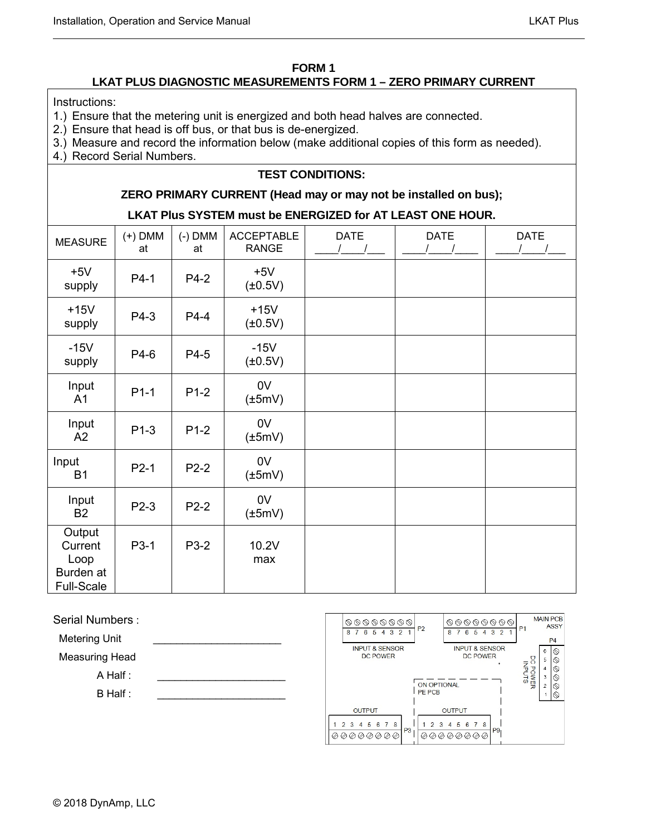#### **FORM 1**

# **LKAT PLUS DIAGNOSTIC MEASUREMENTS FORM 1 – ZERO PRIMARY CURRENT**

Instructions:

- 1.) Ensure that the metering unit is energized and both head halves are connected.
- 2.) Ensure that head is off bus, or that bus is de-energized.
- 3.) Measure and record the information below (make additional copies of this form as needed).
- 4.) Record Serial Numbers.

# **TEST CONDITIONS:**

## **ZERO PRIMARY CURRENT (Head may or may not be installed on bus);**

## **LKAT Plus SYSTEM must be ENERGIZED for AT LEAST ONE HOUR.**

| <b>MEASURE</b>                                              | $(+)$ DMM<br>at | $(-)$ DMM<br>at | <b>ACCEPTABLE</b><br><b>RANGE</b> | <b>DATE</b> | <b>DATE</b> | <b>DATE</b> |
|-------------------------------------------------------------|-----------------|-----------------|-----------------------------------|-------------|-------------|-------------|
| $+5V$<br>supply                                             | P4-1            | P4-2            | $+5V$<br>$(\pm 0.5V)$             |             |             |             |
| $+15V$<br>supply                                            | P4-3            | P4-4            | $+15V$<br>$(\pm 0.5V)$            |             |             |             |
| $-15V$<br>supply                                            | P4-6            | P4-5            | $-15V$<br>$(\pm 0.5V)$            |             |             |             |
| Input<br>A <sub>1</sub>                                     | $P1-1$          | $P1-2$          | 0V<br>$(\pm 5mV)$                 |             |             |             |
| Input<br>A2                                                 | $P1-3$          | $P1-2$          | 0V<br>$(\pm 5mV)$                 |             |             |             |
| Input<br><b>B1</b>                                          | $P2-1$          | $P2-2$          | 0V<br>$(\pm 5mV)$                 |             |             |             |
| Input<br><b>B2</b>                                          | P2-3            | $P2-2$          | 0V<br>$(\pm 5mV)$                 |             |             |             |
| Output<br>Current<br>Loop<br>Burden at<br><b>Full-Scale</b> | P3-1            | P3-2            | 10.2V<br>max                      |             |             |             |

Serial Numbers :

Metering Unit

Measuring Head

 $A$  Half :

 $B$  Half :